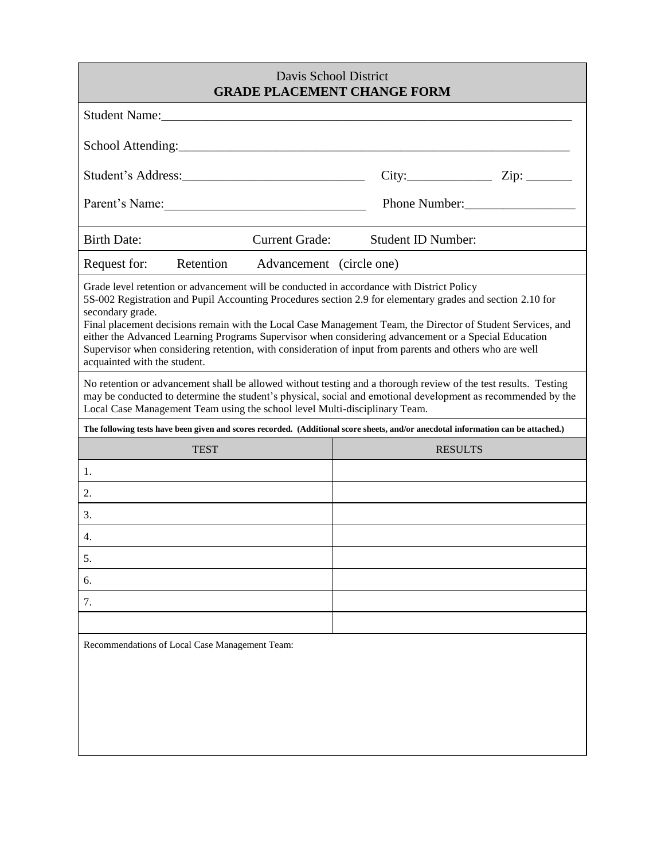| <b>Davis School District</b><br><b>GRADE PLACEMENT CHANGE FORM</b>                                                                                                                                                                                                                                                                                                                                                                                                                                                                                                                            |                       |                           |  |  |
|-----------------------------------------------------------------------------------------------------------------------------------------------------------------------------------------------------------------------------------------------------------------------------------------------------------------------------------------------------------------------------------------------------------------------------------------------------------------------------------------------------------------------------------------------------------------------------------------------|-----------------------|---------------------------|--|--|
|                                                                                                                                                                                                                                                                                                                                                                                                                                                                                                                                                                                               |                       |                           |  |  |
|                                                                                                                                                                                                                                                                                                                                                                                                                                                                                                                                                                                               |                       |                           |  |  |
| Student's Address:                                                                                                                                                                                                                                                                                                                                                                                                                                                                                                                                                                            |                       |                           |  |  |
| Parent's Name:                                                                                                                                                                                                                                                                                                                                                                                                                                                                                                                                                                                |                       | Phone Number:             |  |  |
| <b>Birth Date:</b>                                                                                                                                                                                                                                                                                                                                                                                                                                                                                                                                                                            | <b>Current Grade:</b> | <b>Student ID Number:</b> |  |  |
| Request for:<br>Retention Advancement (circle one)                                                                                                                                                                                                                                                                                                                                                                                                                                                                                                                                            |                       |                           |  |  |
| Grade level retention or advancement will be conducted in accordance with District Policy<br>5S-002 Registration and Pupil Accounting Procedures section 2.9 for elementary grades and section 2.10 for<br>secondary grade.<br>Final placement decisions remain with the Local Case Management Team, the Director of Student Services, and<br>either the Advanced Learning Programs Supervisor when considering advancement or a Special Education<br>Supervisor when considering retention, with consideration of input from parents and others who are well<br>acquainted with the student. |                       |                           |  |  |
| No retention or advancement shall be allowed without testing and a thorough review of the test results. Testing<br>may be conducted to determine the student's physical, social and emotional development as recommended by the<br>Local Case Management Team using the school level Multi-disciplinary Team.                                                                                                                                                                                                                                                                                 |                       |                           |  |  |
| The following tests have been given and scores recorded. (Additional score sheets, and/or anecdotal information can be attached.)                                                                                                                                                                                                                                                                                                                                                                                                                                                             |                       |                           |  |  |
| <b>TEST</b>                                                                                                                                                                                                                                                                                                                                                                                                                                                                                                                                                                                   |                       | <b>RESULTS</b>            |  |  |
| 1.                                                                                                                                                                                                                                                                                                                                                                                                                                                                                                                                                                                            |                       |                           |  |  |
| 2.                                                                                                                                                                                                                                                                                                                                                                                                                                                                                                                                                                                            |                       |                           |  |  |
| 3.                                                                                                                                                                                                                                                                                                                                                                                                                                                                                                                                                                                            |                       |                           |  |  |
| 4.                                                                                                                                                                                                                                                                                                                                                                                                                                                                                                                                                                                            |                       |                           |  |  |
| 5.                                                                                                                                                                                                                                                                                                                                                                                                                                                                                                                                                                                            |                       |                           |  |  |
| 6.                                                                                                                                                                                                                                                                                                                                                                                                                                                                                                                                                                                            |                       |                           |  |  |
| 7.                                                                                                                                                                                                                                                                                                                                                                                                                                                                                                                                                                                            |                       |                           |  |  |
|                                                                                                                                                                                                                                                                                                                                                                                                                                                                                                                                                                                               |                       |                           |  |  |
| Recommendations of Local Case Management Team:                                                                                                                                                                                                                                                                                                                                                                                                                                                                                                                                                |                       |                           |  |  |